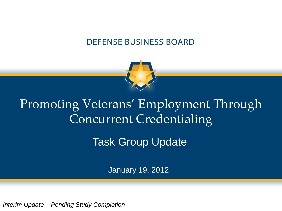#### **DEFENSE BUSINESS BOARD**



# Promoting Veterans' Employment Through Concurrent Credentialing

Task Group Update

January 19, 2012

*Interim Update – Pending Study Completion*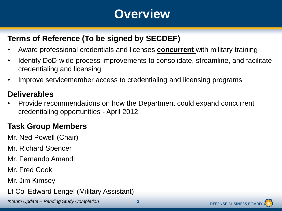## **Overview**

## **Terms of Reference (To be signed by SECDEF)**

- Award professional credentials and licenses **concurrent** with military training
- Identify DoD-wide process improvements to consolidate, streamline, and facilitate credentialing and licensing
- Improve servicemember access to credentialing and licensing programs

### **Deliverables**

• Provide recommendations on how the Department could expand concurrent credentialing opportunities - April 2012

#### **Task Group Members**

Mr. Ned Powell (Chair)

Mr. Richard Spencer

Mr. Fernando Amandi

Mr. Fred Cook

Mr. Jim Kimsey

Lt Col Edward Lengel (Military Assistant)

*Interim Update – Pending Study Completion*

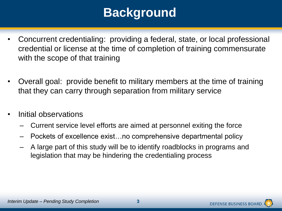# **Background**

- Concurrent credentialing: providing a federal, state, or local professional credential or license at the time of completion of training commensurate with the scope of that training
- Overall goal: provide benefit to military members at the time of training that they can carry through separation from military service
- Initial observations
	- Current service level efforts are aimed at personnel exiting the force
	- Pockets of excellence exist…no comprehensive departmental policy
	- A large part of this study will be to identify roadblocks in programs and legislation that may be hindering the credentialing process